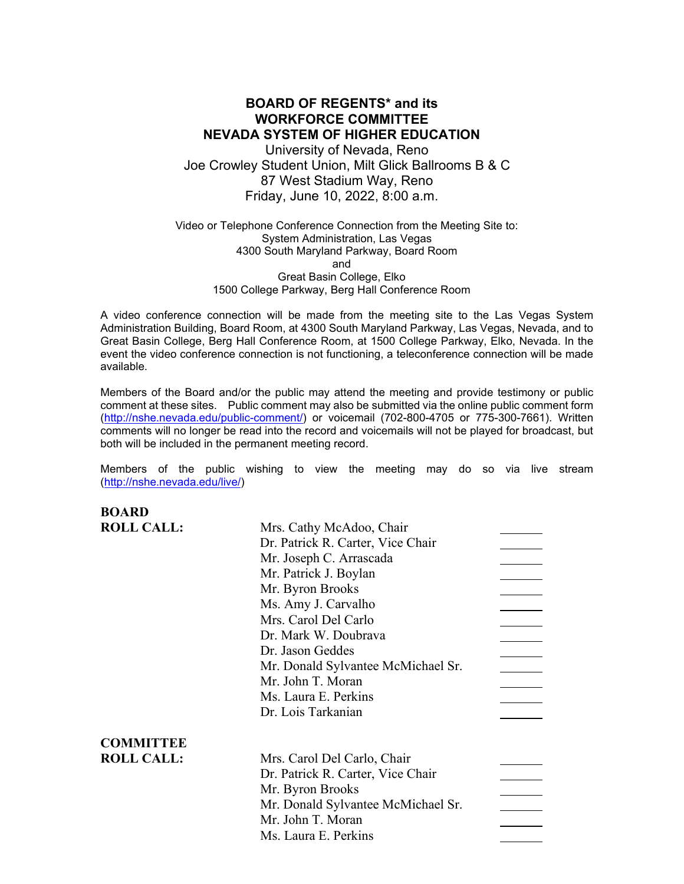# **BOARD OF REGENTS\* and its WORKFORCE COMMITTEE NEVADA SYSTEM OF HIGHER EDUCATION**

University of Nevada, Reno Joe Crowley Student Union, Milt Glick Ballrooms B & C 87 West Stadium Way, Reno Friday, June 10, 2022, 8:00 a.m.

Video or Telephone Conference Connection from the Meeting Site to: System Administration, Las Vegas 4300 South Maryland Parkway, Board Room and Great Basin College, Elko 1500 College Parkway, Berg Hall Conference Room

A video conference connection will be made from the meeting site to the Las Vegas System Administration Building, Board Room, at 4300 South Maryland Parkway, Las Vegas, Nevada, and to Great Basin College, Berg Hall Conference Room, at 1500 College Parkway, Elko, Nevada. In the event the video conference connection is not functioning, a teleconference connection will be made available.

Members of the Board and/or the public may attend the meeting and provide testimony or public comment at these sites. Public comment may also be submitted via the online public comment form [\(http://nshe.nevada.edu/public-comment/\)](http://nshe.nevada.edu/public-comment/) or voicemail (702-800-4705 or 775-300-7661). Written comments will no longer be read into the record and voicemails will not be played for broadcast, but both will be included in the permanent meeting record.

Members of the public wishing to view the meeting may do so via live stream [\(http://nshe.nevada.edu/live/\)](http://nshe.nevada.edu/live/)

| <b>BOARD</b>      |                                    |  |
|-------------------|------------------------------------|--|
| <b>ROLL CALL:</b> | Mrs. Cathy McAdoo, Chair           |  |
|                   | Dr. Patrick R. Carter, Vice Chair  |  |
|                   | Mr. Joseph C. Arrascada            |  |
|                   | Mr. Patrick J. Boylan              |  |
|                   | Mr. Byron Brooks                   |  |
|                   | Ms. Amy J. Carvalho                |  |
|                   | Mrs. Carol Del Carlo               |  |
|                   | Dr. Mark W. Doubrava               |  |
|                   | Dr. Jason Geddes                   |  |
|                   | Mr. Donald Sylvantee McMichael Sr. |  |
|                   | Mr. John T. Moran                  |  |
|                   | Ms. Laura E. Perkins               |  |
|                   | Dr. Lois Tarkanian                 |  |
| <b>COMMITTEE</b>  |                                    |  |
| <b>ROLL CALL:</b> | Mrs. Carol Del Carlo, Chair        |  |
|                   | Dr. Patrick R. Carter, Vice Chair  |  |
|                   | Mr. Byron Brooks                   |  |
|                   | Mr. Donald Sylvantee McMichael Sr. |  |
|                   | Mr. John T. Moran                  |  |
|                   | Ms. Laura E. Perkins               |  |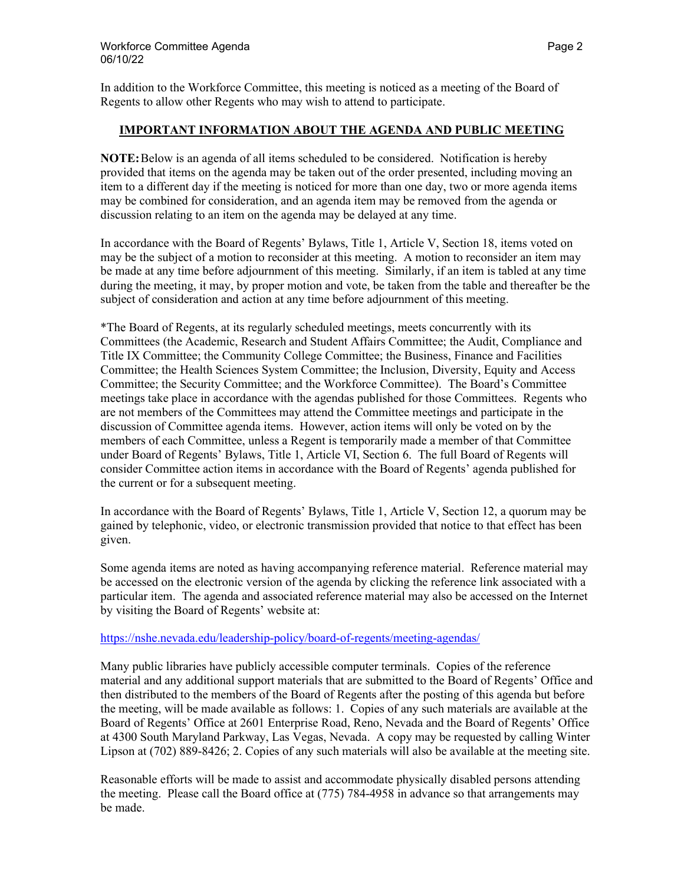In addition to the Workforce Committee, this meeting is noticed as a meeting of the Board of Regents to allow other Regents who may wish to attend to participate.

### **IMPORTANT INFORMATION ABOUT THE AGENDA AND PUBLIC MEETING**

**NOTE:**Below is an agenda of all items scheduled to be considered. Notification is hereby provided that items on the agenda may be taken out of the order presented, including moving an item to a different day if the meeting is noticed for more than one day, two or more agenda items may be combined for consideration, and an agenda item may be removed from the agenda or discussion relating to an item on the agenda may be delayed at any time.

In accordance with the Board of Regents' Bylaws, Title 1, Article V, Section 18, items voted on may be the subject of a motion to reconsider at this meeting. A motion to reconsider an item may be made at any time before adjournment of this meeting. Similarly, if an item is tabled at any time during the meeting, it may, by proper motion and vote, be taken from the table and thereafter be the subject of consideration and action at any time before adjournment of this meeting.

\*The Board of Regents, at its regularly scheduled meetings, meets concurrently with its Committees (the Academic, Research and Student Affairs Committee; the Audit, Compliance and Title IX Committee; the Community College Committee; the Business, Finance and Facilities Committee; the Health Sciences System Committee; the Inclusion, Diversity, Equity and Access Committee; the Security Committee; and the Workforce Committee). The Board's Committee meetings take place in accordance with the agendas published for those Committees. Regents who are not members of the Committees may attend the Committee meetings and participate in the discussion of Committee agenda items. However, action items will only be voted on by the members of each Committee, unless a Regent is temporarily made a member of that Committee under Board of Regents' Bylaws, Title 1, Article VI, Section 6. The full Board of Regents will consider Committee action items in accordance with the Board of Regents' agenda published for the current or for a subsequent meeting.

In accordance with the Board of Regents' Bylaws, Title 1, Article V, Section 12, a quorum may be gained by telephonic, video, or electronic transmission provided that notice to that effect has been given.

Some agenda items are noted as having accompanying reference material. Reference material may be accessed on the electronic version of the agenda by clicking the reference link associated with a particular item. The agenda and associated reference material may also be accessed on the Internet by visiting the Board of Regents' website at:

### <https://nshe.nevada.edu/leadership-policy/board-of-regents/meeting-agendas/>

Many public libraries have publicly accessible computer terminals. Copies of the reference material and any additional support materials that are submitted to the Board of Regents' Office and then distributed to the members of the Board of Regents after the posting of this agenda but before the meeting, will be made available as follows: 1. Copies of any such materials are available at the Board of Regents' Office at 2601 Enterprise Road, Reno, Nevada and the Board of Regents' Office at 4300 South Maryland Parkway, Las Vegas, Nevada. A copy may be requested by calling Winter Lipson at (702) 889-8426; 2. Copies of any such materials will also be available at the meeting site.

Reasonable efforts will be made to assist and accommodate physically disabled persons attending the meeting. Please call the Board office at (775) 784-4958 in advance so that arrangements may be made.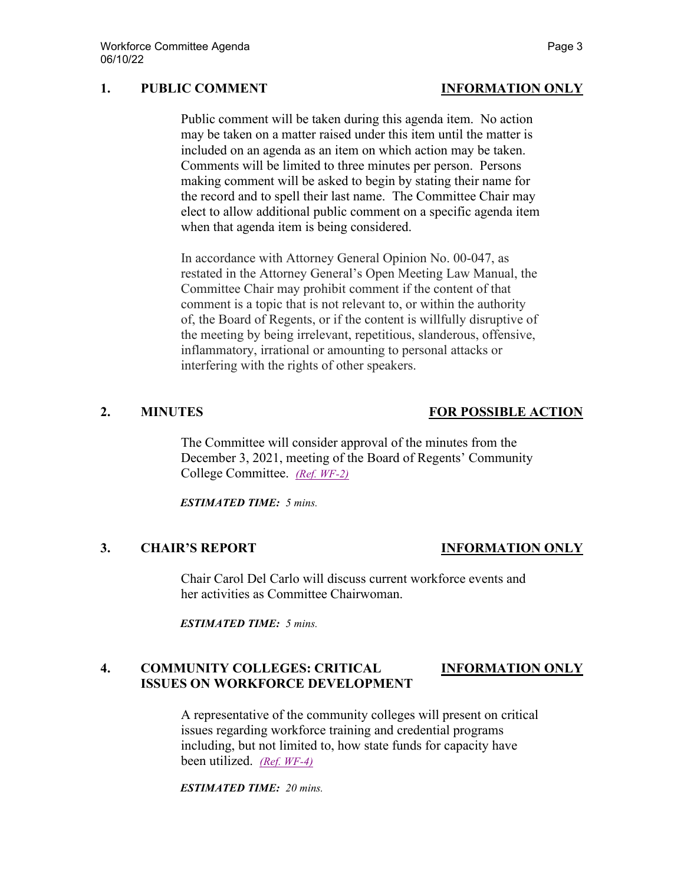## **1. PUBLIC COMMENT INFORMATION ONLY**

Public comment will be taken during this agenda item. No action may be taken on a matter raised under this item until the matter is included on an agenda as an item on which action may be taken. Comments will be limited to three minutes per person. Persons making comment will be asked to begin by stating their name for the record and to spell their last name. The Committee Chair may elect to allow additional public comment on a specific agenda item when that agenda item is being considered.

In accordance with Attorney General Opinion No. 00-047, as restated in the Attorney General's Open Meeting Law Manual, the Committee Chair may prohibit comment if the content of that comment is a topic that is not relevant to, or within the authority of, the Board of Regents, or if the content is willfully disruptive of the meeting by being irrelevant, repetitious, slanderous, offensive, inflammatory, irrational or amounting to personal attacks or interfering with the rights of other speakers.

The Committee will consider approval of the minutes from the December 3, 2021, meeting of the Board of Regents' Community College Committee. *[\(Ref. WF-2\)](https://nshe.nevada.edu/wp-content/uploads/file/BoardOfRegents/Agendas/2022/06-jun-mtgs/wf-refs/WF-2.pdf)*

*ESTIMATED TIME: 5 mins.*

### **3. CHAIR'S REPORT INFORMATION ONLY**

Chair Carol Del Carlo will discuss current workforce events and her activities as Committee Chairwoman.

*ESTIMATED TIME: 5 mins.*

## **4. COMMUNITY COLLEGES: CRITICAL INFORMATION ONLY ISSUES ON WORKFORCE DEVELOPMENT**

A representative of the community colleges will present on critical issues regarding workforce training and credential programs including, but not limited to, how state funds for capacity have been utilized. *[\(Ref. WF-4\)](https://nshe.nevada.edu/wp-content/uploads/file/BoardOfRegents/Agendas/2022/06-jun-mtgs/wf-refs/WF-4.pdf)*

*ESTIMATED TIME: 20 mins.*

# **2. MINUTES FOR POSSIBLE ACTION**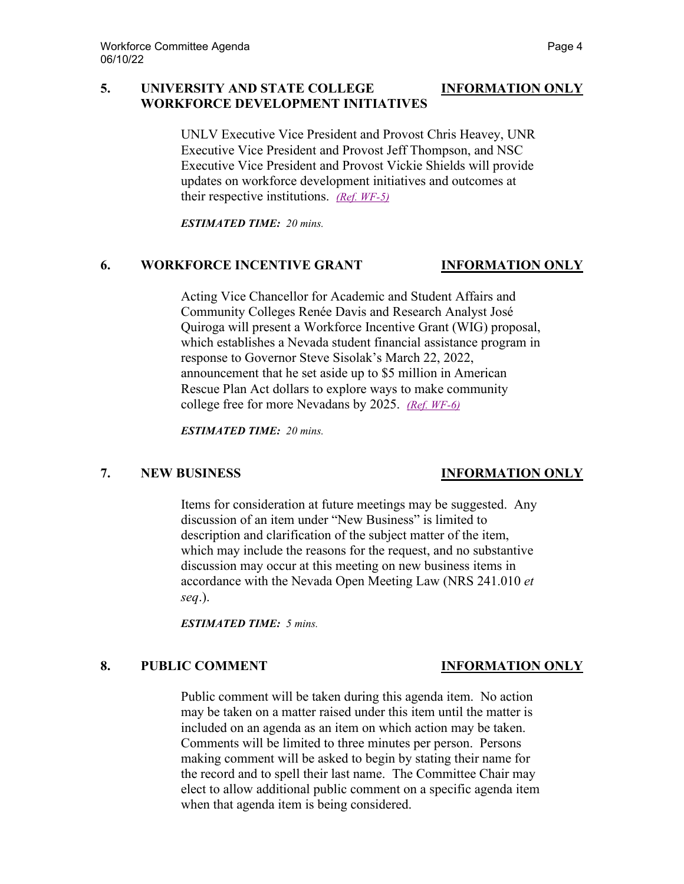### **5. UNIVERSITY AND STATE COLLEGE INFORMATION ONLY WORKFORCE DEVELOPMENT INITIATIVES**

UNLV Executive Vice President and Provost Chris Heavey, UNR Executive Vice President and Provost Jeff Thompson, and NSC Executive Vice President and Provost Vickie Shields will provide updates on workforce development initiatives and outcomes at their respective institutions. *[\(Ref. WF-5\)](https://nshe.nevada.edu/wp-content/uploads/file/BoardOfRegents/Agendas/2022/06-jun-mtgs/wf-refs/WF-5.pdf)*

*ESTIMATED TIME: 20 mins.*

### **6. WORKFORCE INCENTIVE GRANT INFORMATION ONLY**

Acting Vice Chancellor for Academic and Student Affairs and Community Colleges Renée Davis and Research Analyst José Quiroga will present a Workforce Incentive Grant (WIG) proposal, which establishes a Nevada student financial assistance program in response to Governor Steve Sisolak's March 22, 2022, announcement that he set aside up to \$5 million in American Rescue Plan Act dollars to explore ways to make community college free for more Nevadans by 2025. *[\(Ref. WF-6\)](https://nshe.nevada.edu/wp-content/uploads/file/BoardOfRegents/Agendas/2022/06-jun-mtgs/wf-refs/WF-6.pdf)*

*ESTIMATED TIME: 20 mins.*

# **7. NEW BUSINESS INFORMATION ONLY**

Items for consideration at future meetings may be suggested. Any discussion of an item under "New Business" is limited to description and clarification of the subject matter of the item, which may include the reasons for the request, and no substantive discussion may occur at this meeting on new business items in accordance with the Nevada Open Meeting Law (NRS 241.010 *et seq*.).

*ESTIMATED TIME: 5 mins.*

# **8. PUBLIC COMMENT INFORMATION ONLY**

Public comment will be taken during this agenda item. No action may be taken on a matter raised under this item until the matter is included on an agenda as an item on which action may be taken. Comments will be limited to three minutes per person. Persons making comment will be asked to begin by stating their name for the record and to spell their last name. The Committee Chair may elect to allow additional public comment on a specific agenda item when that agenda item is being considered.